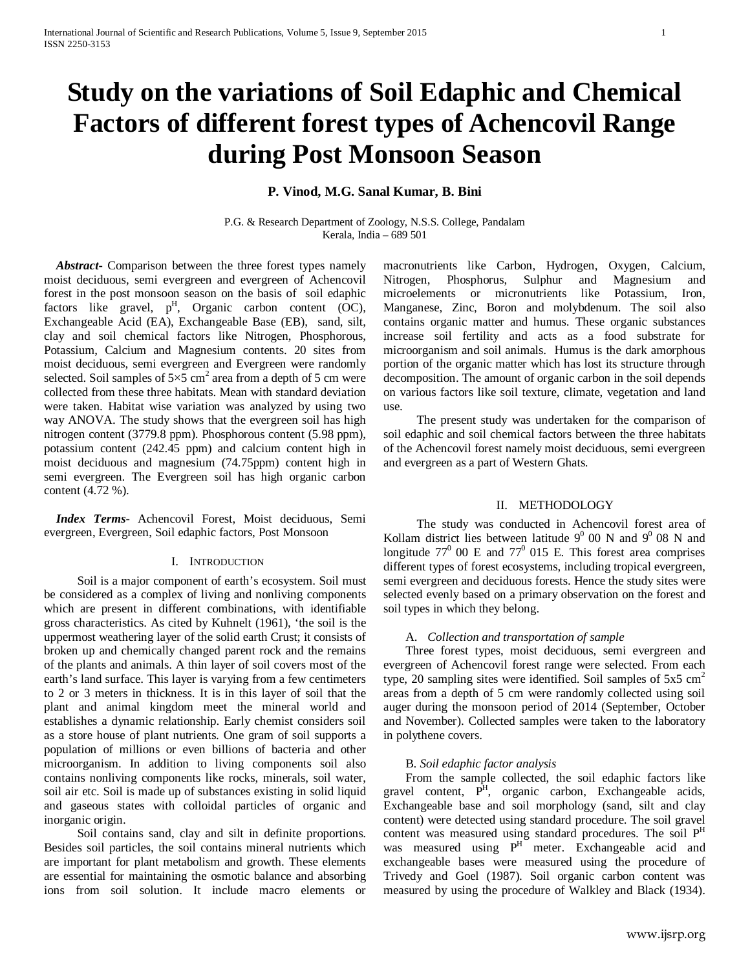# **Study on the variations of Soil Edaphic and Chemical Factors of different forest types of Achencovil Range during Post Monsoon Season**

# **P. Vinod, M.G. Sanal Kumar, B. Bini**

P.G. & Research Department of Zoology, N.S.S. College, Pandalam Kerala, India – 689 501

 *Abstract***-** Comparison between the three forest types namely moist deciduous, semi evergreen and evergreen of Achencovil forest in the post monsoon season on the basis of soil edaphic factors like gravel,  $p<sup>H</sup>$ , Organic carbon content (OC), Exchangeable Acid (EA), Exchangeable Base (EB), sand, silt, clay and soil chemical factors like Nitrogen, Phosphorous, Potassium, Calcium and Magnesium contents. 20 sites from moist deciduous, semi evergreen and Evergreen were randomly selected. Soil samples of  $5\times 5$  cm<sup>2</sup> area from a depth of 5 cm were collected from these three habitats. Mean with standard deviation were taken. Habitat wise variation was analyzed by using two way ANOVA. The study shows that the evergreen soil has high nitrogen content (3779.8 ppm). Phosphorous content (5.98 ppm), potassium content (242.45 ppm) and calcium content high in moist deciduous and magnesium (74.75ppm) content high in semi evergreen. The Evergreen soil has high organic carbon content (4.72 %).

 *Index Terms*- Achencovil Forest, Moist deciduous, Semi evergreen, Evergreen, Soil edaphic factors, Post Monsoon

#### I. INTRODUCTION

Soil is a major component of earth's ecosystem. Soil must be considered as a complex of living and nonliving components which are present in different combinations, with identifiable gross characteristics. As cited by Kuhnelt (1961), 'the soil is the uppermost weathering layer of the solid earth Crust; it consists of broken up and chemically changed parent rock and the remains of the plants and animals. A thin layer of soil covers most of the earth's land surface. This layer is varying from a few centimeters to 2 or 3 meters in thickness. It is in this layer of soil that the plant and animal kingdom meet the mineral world and establishes a dynamic relationship. Early chemist considers soil as a store house of plant nutrients. One gram of soil supports a population of millions or even billions of bacteria and other microorganism. In addition to living components soil also contains nonliving components like rocks, minerals, soil water, soil air etc. Soil is made up of substances existing in solid liquid and gaseous states with colloidal particles of organic and inorganic origin.

Soil contains sand, clay and silt in definite proportions. Besides soil particles, the soil contains mineral nutrients which are important for plant metabolism and growth. These elements are essential for maintaining the osmotic balance and absorbing ions from soil solution. It include macro elements or

macronutrients like Carbon, Hydrogen, Oxygen, Calcium, Nitrogen, Phosphorus, Sulphur and Magnesium and microelements or micronutrients like Potassium, Iron, Manganese, Zinc, Boron and molybdenum. The soil also contains organic matter and humus. These organic substances increase soil fertility and acts as a food substrate for microorganism and soil animals. Humus is the dark amorphous portion of the organic matter which has lost its structure through decomposition. The amount of organic carbon in the soil depends on various factors like soil texture, climate, vegetation and land use.

The present study was undertaken for the comparison of soil edaphic and soil chemical factors between the three habitats of the Achencovil forest namely moist deciduous, semi evergreen and evergreen as a part of Western Ghats.

# II. METHODOLOGY

The study was conducted in Achencovil forest area of Kollam district lies between latitude  $9^0$  00 N and  $9^0$  08 N and longitude  $77^{\circ}$  00 E and  $77^{\circ}$  015 E. This forest area comprises different types of forest ecosystems, including tropical evergreen, semi evergreen and deciduous forests. Hence the study sites were selected evenly based on a primary observation on the forest and soil types in which they belong.

#### A. *Collection and transportation of sample*

Three forest types, moist deciduous, semi evergreen and evergreen of Achencovil forest range were selected. From each type, 20 sampling sites were identified. Soil samples of  $5x5 \text{ cm}^2$ areas from a depth of 5 cm were randomly collected using soil auger during the monsoon period of 2014 (September, October and November). Collected samples were taken to the laboratory in polythene covers.

#### B. *Soil edaphic factor analysis*

From the sample collected, the soil edaphic factors like gravel content,  $P<sup>H</sup>$ , organic carbon, Exchangeable acids, Exchangeable base and soil morphology (sand, silt and clay content) were detected using standard procedure. The soil gravel content was measured using standard procedures. The soil P<sup>H</sup> was measured using  $P^{H}$  meter. Exchangeable acid and exchangeable bases were measured using the procedure of Trivedy and Goel (1987). Soil organic carbon content was measured by using the procedure of Walkley and Black (1934).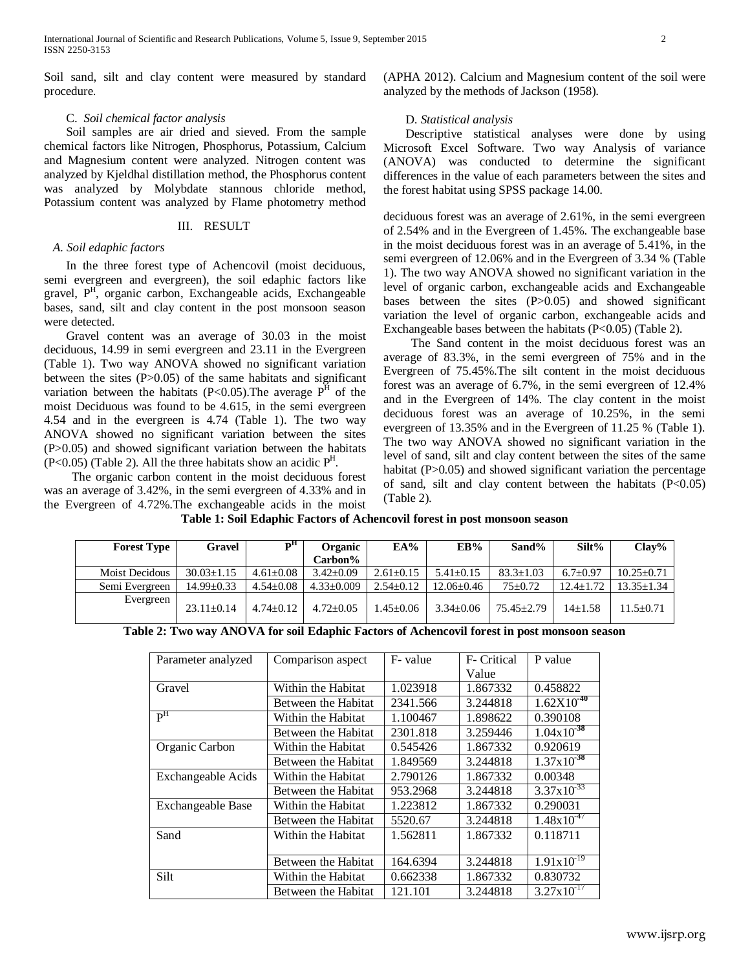Soil sand, silt and clay content were measured by standard procedure.

# C. *Soil chemical factor analysis*

Soil samples are air dried and sieved. From the sample chemical factors like Nitrogen, Phosphorus, Potassium, Calcium and Magnesium content were analyzed. Nitrogen content was analyzed by Kjeldhal distillation method, the Phosphorus content was analyzed by Molybdate stannous chloride method, Potassium content was analyzed by Flame photometry method

## III. RESULT

# *A. Soil edaphic factors*

In the three forest type of Achencovil (moist deciduous, semi evergreen and evergreen), the soil edaphic factors like gravel, P<sup>H</sup>, organic carbon, Exchangeable acids, Exchangeable bases, sand, silt and clay content in the post monsoon season were detected.

Gravel content was an average of 30.03 in the moist deciduous, 14.99 in semi evergreen and 23.11 in the Evergreen (Table 1). Two way ANOVA showed no significant variation between the sites (P>0.05) of the same habitats and significant variation between the habitats (P<0.05). The average  $P^H$  of the moist Deciduous was found to be 4.615, in the semi evergreen 4.54 and in the evergreen is 4.74 (Table 1). The two way ANOVA showed no significant variation between the sites (P>0.05) and showed significant variation between the habitats  $(P<0.05)$  (Table 2). All the three habitats show an acidic  $P<sup>H</sup>$ .

The organic carbon content in the moist deciduous forest was an average of 3.42%, in the semi evergreen of 4.33% and in the Evergreen of 4.72%.The exchangeable acids in the moist (APHA 2012). Calcium and Magnesium content of the soil were analyzed by the methods of Jackson (1958).

# D. *Statistical analysis*

Descriptive statistical analyses were done by using Microsoft Excel Software. Two way Analysis of variance (ANOVA) was conducted to determine the significant differences in the value of each parameters between the sites and the forest habitat using SPSS package 14.00.

deciduous forest was an average of 2.61%, in the semi evergreen of 2.54% and in the Evergreen of 1.45%. The exchangeable base in the moist deciduous forest was in an average of 5.41%, in the semi evergreen of 12.06% and in the Evergreen of 3.34 % (Table 1). The two way ANOVA showed no significant variation in the level of organic carbon, exchangeable acids and Exchangeable bases between the sites (P>0.05) and showed significant variation the level of organic carbon, exchangeable acids and Exchangeable bases between the habitats (P<0.05) (Table 2).

The Sand content in the moist deciduous forest was an average of 83.3%, in the semi evergreen of 75% and in the Evergreen of 75.45%.The silt content in the moist deciduous forest was an average of 6.7%, in the semi evergreen of 12.4% and in the Evergreen of 14%. The clay content in the moist deciduous forest was an average of 10.25%, in the semi evergreen of 13.35% and in the Evergreen of 11.25 % (Table 1). The two way ANOVA showed no significant variation in the level of sand, silt and clay content between the sites of the same habitat (P>0.05) and showed significant variation the percentage of sand, silt and clay content between the habitats  $(P<0.05)$ (Table 2).

**Table 1: Soil Edaphic Factors of Achencovil forest in post monsoon season**

| <b>Forest Type</b> | Gravel           | ъĦ              | Organic          | EA%             | EB%              | Sand%           | Silt%           | Clav%            |
|--------------------|------------------|-----------------|------------------|-----------------|------------------|-----------------|-----------------|------------------|
|                    |                  |                 | Carbon%          |                 |                  |                 |                 |                  |
| Moist Decidous     | $30.03 \pm 1.15$ | $4.61 \pm 0.08$ | $3.42 + 0.09$    | $2.61 \pm 0.15$ | $5.41 \pm 0.15$  | $83.3 \pm 1.03$ | $6.7+0.97$      | $10.25 \pm 0.71$ |
| Semi Evergreen     | 14.99±0.33       | $4.54 \pm 0.08$ | $4.33 \pm 0.009$ | $2.54 \pm 0.12$ | $12.06 \pm 0.46$ | $75 \pm 0.72$   | $12.4 \pm 1.72$ | $13.35 \pm 1.34$ |
| Evergreen          | $23.11 + 0.14$   | $4.74 + 0.12$   | $4.72 \pm 0.05$  | $1.45 \pm 0.06$ | $3.34 + 0.06$    | $75.45 + 2.79$  | $14+1.58$       | $1.5 \pm 0.71$   |

**Table 2: Two way ANOVA for soil Edaphic Factors of Achencovil forest in post monsoon season**

| Parameter analyzed        | Comparison aspect   | F- value | F- Critical | P value                |
|---------------------------|---------------------|----------|-------------|------------------------|
|                           |                     |          | Value       |                        |
| Gravel                    | Within the Habitat  | 1.023918 | 1.867332    | 0.458822               |
|                           | Between the Habitat | 2341.566 | 3.244818    | $1.62X10^{40}$         |
| P <sup>H</sup>            | Within the Habitat  | 1.100467 | 1.898622    | 0.390108               |
|                           | Between the Habitat | 2301.818 | 3.259446    | $1.04 \times 10^{-38}$ |
| Organic Carbon            | Within the Habitat  | 0.545426 | 1.867332    | 0.920619               |
|                           | Between the Habitat | 1.849569 | 3.244818    | $1.37 \times 10^{-38}$ |
| <b>Exchangeable Acids</b> | Within the Habitat  | 2.790126 | 1.867332    | 0.00348                |
|                           | Between the Habitat | 953.2968 | 3.244818    | $3.37 \times 10^{-33}$ |
| <b>Exchangeable Base</b>  | Within the Habitat  | 1.223812 | 1.867332    | 0.290031               |
|                           | Between the Habitat | 5520.67  | 3.244818    | $1.48 \times 10^{-47}$ |
| Sand                      | Within the Habitat  | 1.562811 | 1.867332    | 0.118711               |
|                           |                     |          |             |                        |
|                           | Between the Habitat | 164.6394 | 3.244818    | $1.91x10^{-19}$        |
| Silt                      | Within the Habitat  | 0.662338 | 1.867332    | 0.830732               |
|                           | Between the Habitat | 121.101  | 3.244818    | $3.27 \times 10^{-17}$ |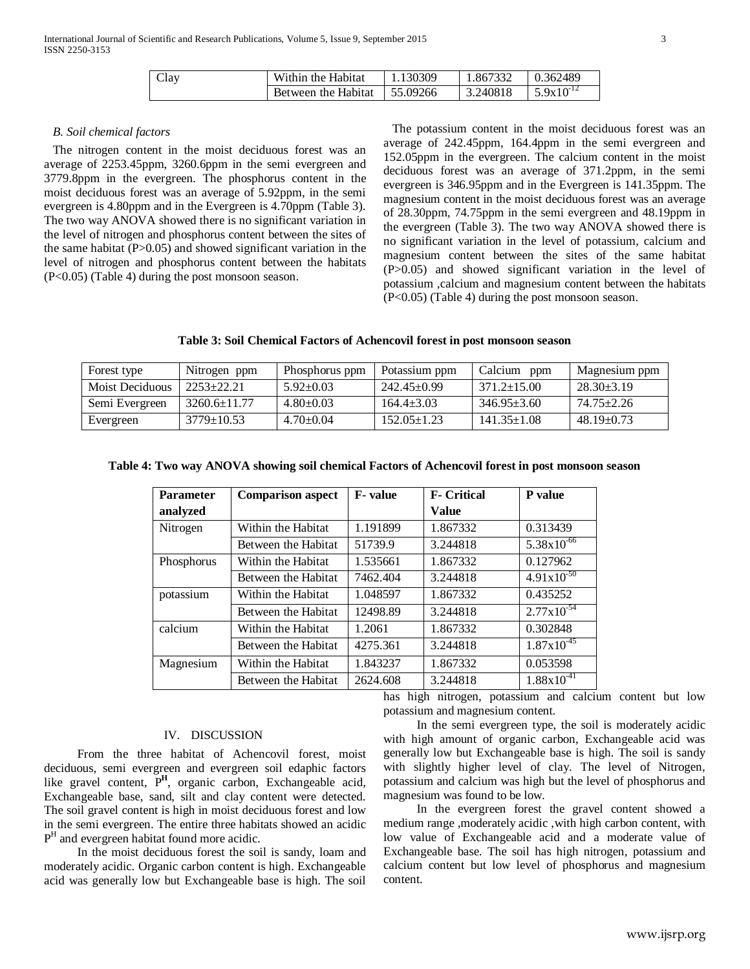| Clay | Within the Habitat $\parallel$ 1.130309 | $1.867332$ 0.362489 |                              |
|------|-----------------------------------------|---------------------|------------------------------|
|      | Between the Habitat 155.09266           | 3.240818            | $\sqrt{5.9 \times 10^{-12}}$ |

#### *B. Soil chemical factors*

The nitrogen content in the moist deciduous forest was an average of 2253.45ppm, 3260.6ppm in the semi evergreen and 3779.8ppm in the evergreen. The phosphorus content in the moist deciduous forest was an average of 5.92ppm, in the semi evergreen is 4.80ppm and in the Evergreen is 4.70ppm (Table 3). The two way ANOVA showed there is no significant variation in the level of nitrogen and phosphorus content between the sites of the same habitat  $(P>0.05)$  and showed significant variation in the level of nitrogen and phosphorus content between the habitats (P<0.05) (Table 4) during the post monsoon season.

The potassium content in the moist deciduous forest was an average of 242.45ppm, 164.4ppm in the semi evergreen and 152.05ppm in the evergreen. The calcium content in the moist deciduous forest was an average of 371.2ppm, in the semi evergreen is 346.95ppm and in the Evergreen is 141.35ppm. The magnesium content in the moist deciduous forest was an average of 28.30ppm, 74.75ppm in the semi evergreen and 48.19ppm in the evergreen (Table 3). The two way ANOVA showed there is no significant variation in the level of potassium, calcium and magnesium content between the sites of the same habitat (P>0.05) and showed significant variation in the level of potassium ,calcium and magnesium content between the habitats (P<0.05) (Table 4) during the post monsoon season.

**Table 3: Soil Chemical Factors of Achencovil forest in post monsoon season**

| Forest type     | Nitrogen ppm       | Phosphorus ppm  | Potassium ppm     | Calcium<br>ppm    | Magnesium ppm    |
|-----------------|--------------------|-----------------|-------------------|-------------------|------------------|
| Moist Deciduous | $2253+22.21$       | $5.92 \pm 0.03$ | 242.45±0.99       | $371.2 \pm 15.00$ | $28.30\pm3.19$   |
| Semi Evergreen  | $3260.6 \pm 11.77$ | $4.80 \pm 0.03$ | $164.4 \pm 3.03$  | $346.95 \pm 3.60$ | 74.75+2.26       |
| Evergreen       | $3779 \pm 10.53$   | $4.70 \pm 0.04$ | $152.05 \pm 1.23$ | $141.35 \pm 1.08$ | $48.19 \pm 0.73$ |

| <b>Parameter</b> | <b>Comparison aspect</b> | <b>F</b> -value | <b>F- Critical</b> | P value                |
|------------------|--------------------------|-----------------|--------------------|------------------------|
| analyzed         |                          |                 | Value              |                        |
| Nitrogen         | Within the Habitat       | 1.191899        | 1.867332           | 0.313439               |
|                  | Between the Habitat      | 51739.9         | 3.244818           | $5.38 \times 10^{-66}$ |
| Phosphorus       | Within the Habitat       | 1.535661        | 1.867332           | 0.127962               |
|                  | Between the Habitat      | 7462.404        | 3.244818           | $4.91x10^{-50}$        |
| potassium        | Within the Habitat       | 1.048597        | 1.867332           | 0.435252               |
|                  | Between the Habitat      | 12498.89        | 3.244818           | $2.77 \times 10^{-54}$ |
| calcium          | Within the Habitat       | 1.2061          | 1.867332           | 0.302848               |
|                  | Between the Habitat      | 4275.361        | 3.244818           | $1.87 \times 10^{-45}$ |
| Magnesium        | Within the Habitat       | 1.843237        | 1.867332           | 0.053598               |
|                  | Between the Habitat      | 2624.608        | 3.244818           | $1.88 \times 10^{-41}$ |

**Table 4: Two way ANOVA showing soil chemical Factors of Achencovil forest in post monsoon season**

has high nitrogen, potassium and calcium content but low potassium and magnesium content.

# IV. DISCUSSION

From the three habitat of Achencovil forest, moist deciduous, semi evergreen and evergreen soil edaphic factors like gravel content, P**<sup>H</sup>**, organic carbon, Exchangeable acid, Exchangeable base, sand, silt and clay content were detected. The soil gravel content is high in moist deciduous forest and low in the semi evergreen. The entire three habitats showed an acidic  $P<sup>H</sup>$  and evergreen habitat found more acidic.

In the moist deciduous forest the soil is sandy, loam and moderately acidic. Organic carbon content is high. Exchangeable acid was generally low but Exchangeable base is high. The soil

In the semi evergreen type, the soil is moderately acidic with high amount of organic carbon, Exchangeable acid was generally low but Exchangeable base is high. The soil is sandy with slightly higher level of clay. The level of Nitrogen, potassium and calcium was high but the level of phosphorus and magnesium was found to be low.

In the evergreen forest the gravel content showed a medium range ,moderately acidic ,with high carbon content, with low value of Exchangeable acid and a moderate value of Exchangeable base. The soil has high nitrogen, potassium and calcium content but low level of phosphorus and magnesium content.